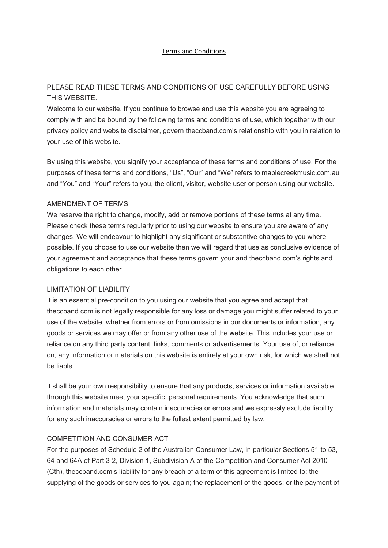#### Terms and Conditions

# PLEASE READ THESE TERMS AND CONDITIONS OF USE CAREFULLY BEFORE USING THIS WEBSITE.

Welcome to our website. If you continue to browse and use this website you are agreeing to comply with and be bound by the following terms and conditions of use, which together with our privacy policy and website disclaimer, govern theccband.com's relationship with you in relation to your use of this website.

By using this website, you signify your acceptance of these terms and conditions of use. For the purposes of these terms and conditions, "Us", "Our" and "We" refers to maplecreekmusic.com.au and "You" and "Your" refers to you, the client, visitor, website user or person using our website.

### AMENDMENT OF TERMS

We reserve the right to change, modify, add or remove portions of these terms at any time. Please check these terms regularly prior to using our website to ensure you are aware of any changes. We will endeavour to highlight any significant or substantive changes to you where possible. If you choose to use our website then we will regard that use as conclusive evidence of your agreement and acceptance that these terms govern your and theccband.com's rights and obligations to each other.

#### LIMITATION OF LIABILITY

It is an essential pre-condition to you using our website that you agree and accept that theccband.com is not legally responsible for any loss or damage you might suffer related to your use of the website, whether from errors or from omissions in our documents or information, any goods or services we may offer or from any other use of the website. This includes your use or reliance on any third party content, links, comments or advertisements. Your use of, or reliance on, any information or materials on this website is entirely at your own risk, for which we shall not be liable.

It shall be your own responsibility to ensure that any products, services or information available through this website meet your specific, personal requirements. You acknowledge that such information and materials may contain inaccuracies or errors and we expressly exclude liability for any such inaccuracies or errors to the fullest extent permitted by law.

### COMPETITION AND CONSUMER ACT

For the purposes of Schedule 2 of the Australian Consumer Law, in particular Sections 51 to 53, 64 and 64A of Part 3-2, Division 1, Subdivision A of the Competition and Consumer Act 2010 (Cth), theccband.com's liability for any breach of a term of this agreement is limited to: the supplying of the goods or services to you again; the replacement of the goods; or the payment of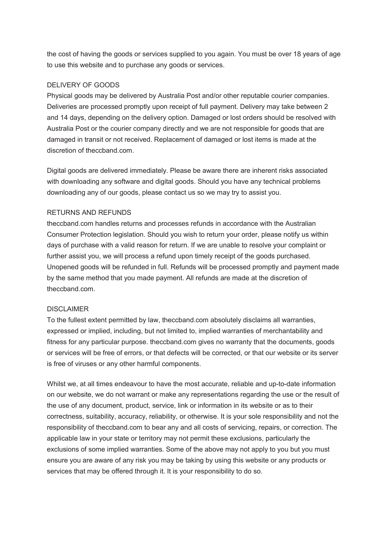the cost of having the goods or services supplied to you again. You must be over 18 years of age to use this website and to purchase any goods or services.

### DELIVERY OF GOODS

Physical goods may be delivered by Australia Post and/or other reputable courier companies. Deliveries are processed promptly upon receipt of full payment. Delivery may take between 2 and 14 days, depending on the delivery option. Damaged or lost orders should be resolved with Australia Post or the courier company directly and we are not responsible for goods that are damaged in transit or not received. Replacement of damaged or lost items is made at the discretion of theccband.com.

Digital goods are delivered immediately. Please be aware there are inherent risks associated with downloading any software and digital goods. Should you have any technical problems downloading any of our goods, please contact us so we may try to assist you.

### RETURNS AND REFUNDS

theccband.com handles returns and processes refunds in accordance with the Australian Consumer Protection legislation. Should you wish to return your order, please notify us within days of purchase with a valid reason for return. If we are unable to resolve your complaint or further assist you, we will process a refund upon timely receipt of the goods purchased. Unopened goods will be refunded in full. Refunds will be processed promptly and payment made by the same method that you made payment. All refunds are made at the discretion of theccband.com.

### **DISCLAIMER**

To the fullest extent permitted by law, theccband.com absolutely disclaims all warranties, expressed or implied, including, but not limited to, implied warranties of merchantability and fitness for any particular purpose. theccband.com gives no warranty that the documents, goods or services will be free of errors, or that defects will be corrected, or that our website or its server is free of viruses or any other harmful components.

Whilst we, at all times endeavour to have the most accurate, reliable and up-to-date information on our website, we do not warrant or make any representations regarding the use or the result of the use of any document, product, service, link or information in its website or as to their correctness, suitability, accuracy, reliability, or otherwise. It is your sole responsibility and not the responsibility of theccband.com to bear any and all costs of servicing, repairs, or correction. The applicable law in your state or territory may not permit these exclusions, particularly the exclusions of some implied warranties. Some of the above may not apply to you but you must ensure you are aware of any risk you may be taking by using this website or any products or services that may be offered through it. It is your responsibility to do so.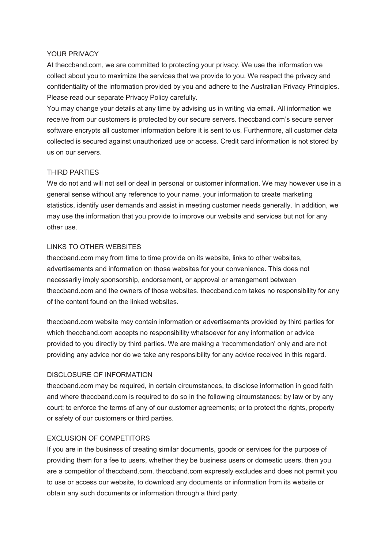#### YOUR PRIVACY

At theccband.com, we are committed to protecting your privacy. We use the information we collect about you to maximize the services that we provide to you. We respect the privacy and confidentiality of the information provided by you and adhere to the Australian Privacy Principles. Please read our separate Privacy Policy carefully.

You may change your details at any time by advising us in writing via email. All information we receive from our customers is protected by our secure servers. theccband.com's secure server software encrypts all customer information before it is sent to us. Furthermore, all customer data collected is secured against unauthorized use or access. Credit card information is not stored by us on our servers.

### THIRD PARTIES

We do not and will not sell or deal in personal or customer information. We may however use in a general sense without any reference to your name, your information to create marketing statistics, identify user demands and assist in meeting customer needs generally. In addition, we may use the information that you provide to improve our website and services but not for any other use.

### LINKS TO OTHER WEBSITES

theccband.com may from time to time provide on its website, links to other websites, advertisements and information on those websites for your convenience. This does not necessarily imply sponsorship, endorsement, or approval or arrangement between theccband.com and the owners of those websites. theccband.com takes no responsibility for any of the content found on the linked websites.

theccband.com website may contain information or advertisements provided by third parties for which theccband.com accepts no responsibility whatsoever for any information or advice provided to you directly by third parties. We are making a 'recommendation' only and are not providing any advice nor do we take any responsibility for any advice received in this regard.

### DISCLOSURE OF INFORMATION

theccband.com may be required, in certain circumstances, to disclose information in good faith and where theccband.com is required to do so in the following circumstances: by law or by any court; to enforce the terms of any of our customer agreements; or to protect the rights, property or safety of our customers or third parties.

# EXCLUSION OF COMPETITORS

If you are in the business of creating similar documents, goods or services for the purpose of providing them for a fee to users, whether they be business users or domestic users, then you are a competitor of theccband.com. theccband.com expressly excludes and does not permit you to use or access our website, to download any documents or information from its website or obtain any such documents or information through a third party.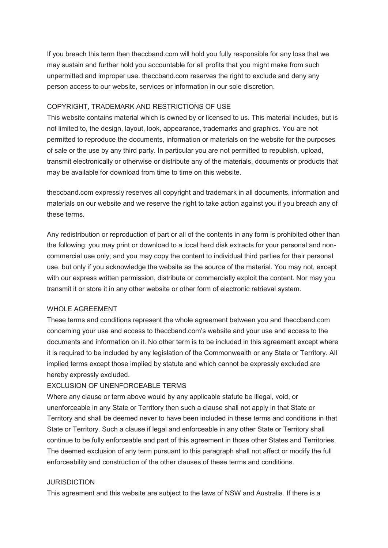If you breach this term then theccband.com will hold you fully responsible for any loss that we may sustain and further hold you accountable for all profits that you might make from such unpermitted and improper use. theccband.com reserves the right to exclude and deny any person access to our website, services or information in our sole discretion.

# COPYRIGHT, TRADEMARK AND RESTRICTIONS OF USE

This website contains material which is owned by or licensed to us. This material includes, but is not limited to, the design, layout, look, appearance, trademarks and graphics. You are not permitted to reproduce the documents, information or materials on the website for the purposes of sale or the use by any third party. In particular you are not permitted to republish, upload, transmit electronically or otherwise or distribute any of the materials, documents or products that may be available for download from time to time on this website.

theccband.com expressly reserves all copyright and trademark in all documents, information and materials on our website and we reserve the right to take action against you if you breach any of these terms.

Any redistribution or reproduction of part or all of the contents in any form is prohibited other than the following: you may print or download to a local hard disk extracts for your personal and noncommercial use only; and you may copy the content to individual third parties for their personal use, but only if you acknowledge the website as the source of the material. You may not, except with our express written permission, distribute or commercially exploit the content. Nor may you transmit it or store it in any other website or other form of electronic retrieval system.

### WHOLE AGREEMENT

These terms and conditions represent the whole agreement between you and theccband.com concerning your use and access to theccband.com's website and your use and access to the documents and information on it. No other term is to be included in this agreement except where it is required to be included by any legislation of the Commonwealth or any State or Territory. All implied terms except those implied by statute and which cannot be expressly excluded are hereby expressly excluded.

### EXCLUSION OF UNENFORCEABLE TERMS

Where any clause or term above would by any applicable statute be illegal, void, or unenforceable in any State or Territory then such a clause shall not apply in that State or Territory and shall be deemed never to have been included in these terms and conditions in that State or Territory. Such a clause if legal and enforceable in any other State or Territory shall continue to be fully enforceable and part of this agreement in those other States and Territories. The deemed exclusion of any term pursuant to this paragraph shall not affect or modify the full enforceability and construction of the other clauses of these terms and conditions.

### JURISDICTION

This agreement and this website are subject to the laws of NSW and Australia. If there is a